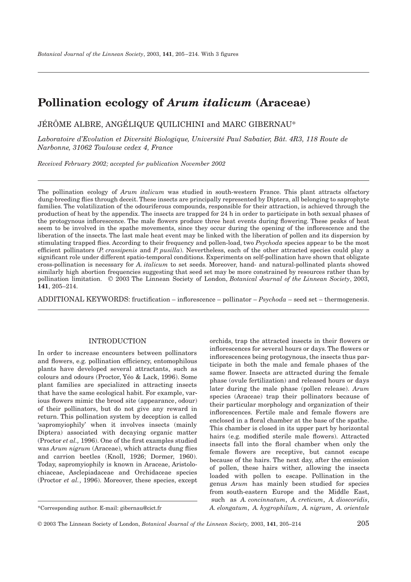# **Pollination ecology of** *Arum italicum* **(Araceae)**

JÉRÔME ALBRE, ANGÉLIQUE QUILICHINI and MARC GIBERNAU\*

*Laboratoire d'Evolution et Diversité Biologique, Université Paul Sabatier, Bât. 4R3, 118 Route de Narbonne, 31062 Toulouse cedex 4, France*

*Received February 2002; accepted for publication November 2002*

The pollination ecology of *Arum italicum* was studied in south-western France. This plant attracts olfactory dung-breeding flies through deceit. These insects are principally represented by Diptera, all belonging to saprophyte families. The volatilization of the odouriferous compounds, responsible for their attraction, is achieved through the production of heat by the appendix. The insects are trapped for 24 h in order to participate in both sexual phases of the protogynous inflorescence. The male flowers produce three heat events during flowering. These peaks of heat seem to be involved in the spathe movements, since they occur during the opening of the inflorescence and the liberation of the insects. The last male heat event may be linked with the liberation of pollen and its dispersion by stimulating trapped flies. According to their frequency and pollen-load, two *Psychoda* species appear to be the most efficient pollinators (*P. crassipenis* and *P. pusilla*). Nevertheless, each of the other attracted species could play a significant role under different spatio-temporal conditions. Experiments on self-pollination have shown that obligate cross-pollination is necessary for *A. italicum* to set seeds. Moreover, hand- and natural-pollinated plants showed similarly high abortion frequencies suggesting that seed set may be more constrained by resources rather than by pollination limitation. © 2003 The Linnean Society of London, *Botanical Journal of the Linnean Society*, 2003, **141**, 205–214.

ADDITIONAL KEYWORDS: fructification – inflorescence – pollinator – *Psychoda* – seed set – thermogenesis.

# INTRODUCTION

In order to increase encounters between pollinators and flowers, e.g. pollination efficiency, entomophilous plants have developed several attractants, such as colours and odours (Proctor, Yéo & Lack, 1996). Some plant families are specialized in attracting insects that have the same ecological habit. For example, various flowers mimic the brood site (appearance, odour) of their pollinators, but do not give any reward in return. This pollination system by deception is called 'sapromyiophily' when it involves insects (mainly Diptera) associated with decaying organic matter (Proctor *et al.,* 1996). One of the first examples studied was *Arum nigrum* (Araceae), which attracts dung flies and carrion beetles (Knoll, 1926; Dormer, 1960). Today, sapromyiophily is known in Araceae, Aristolochiaceae, Asclepiadaceae and Orchidaceae species (Proctor *et al.*, 1996). Moreover, these species, except

orchids, trap the attracted insects in their flowers or inflorescences for several hours or days. The flowers or inflorescences being protogynous, the insects thus participate in both the male and female phases of the same flower. Insects are attracted during the female phase (ovule fertilization) and released hours or days later during the male phase (pollen release). *Arum* species (Araceae) trap their pollinators because of their particular morphology and organization of their inflorescences. Fertile male and female flowers are enclosed in a floral chamber at the base of the spathe. This chamber is closed in its upper part by horizontal hairs (e.g. modified sterile male flowers). Attracted insects fall into the floral chamber when only the female flowers are receptive, but cannot escape because of the hairs. The next day, after the emission of pollen, these hairs wither, allowing the insects loaded with pollen to escape. Pollination in the genus *Arum* has mainly been studied for species from south-eastern Europe and the Middle East, such as *A. concinnatum*, *A. creticum*, *A. dioscoridis*, *A. elongatum*, *A. hygrophilum*, *A. nigrum*, *A. orientale*

<sup>\*</sup>Corresponding author. E-mail: gibernau@cict.fr

<sup>© 2003</sup> The Linnean Society of London, *Botanical Journal of the Linnean Society,* 2003, **141**, 205–214 205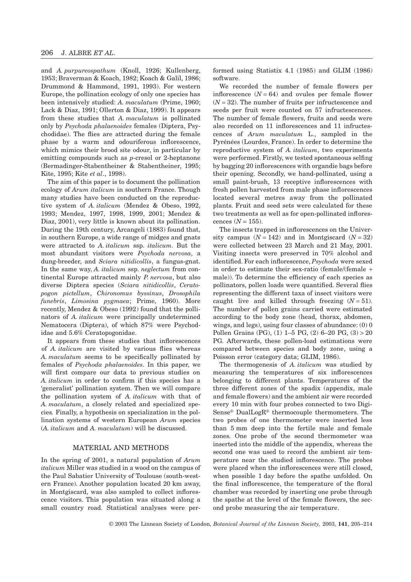and *A. purpureospathum* (Knoll, 1926; Kullenberg, 1953; Braverman & Koach, 1982; Koach & Galil, 1986; Drummond & Hammond, 1991, 1993). For western Europe, the pollination ecology of only one species has been intensively studied: *A. maculatum* (Prime, 1960; Lack & Diaz, 1991; Ollerton & Diaz, 1999). It appears from these studies that *A. maculatum* is pollinated only by *Psychoda phalaenoides* females (Diptera, Psychodidae). The flies are attracted during the female phase by a warm and odouriferous inflorescence, which mimics their brood site odour, in particular by emitting compounds such as *p*-cresol or 2-heptanone (Bermadinger-Stabentheiner & Stabentheiner, 1995; Kite, 1995; Kite *et al*., 1998).

The aim of this paper is to document the pollination ecology of *Arum italicum* in southern France. Though many studies have been conducted on the reproductive system of *A. italicum* (Mendez & Obeso, 1992, 1993; Mendez, 1997, 1998, 1999, 2001; Mendez & Diaz, 2001), very little is known about its pollination. During the 19th century, Arcangeli (1883) found that, in southern Europe, a wide range of midges and gnats were attracted to *A. italicum* ssp. *italicum*. But the most abundant visitors were *Psychoda nervosa*, a dung-breeder, and *Sciara nitidicollis*, a fungus-gnat. In the same way, *A. italicum* ssp. *neglectum* from continental Europe attracted mainly *P. nervosa*, but also diverse Diptera species (*Sciara nitidicollis*, *Ceratopogon pictellum*, *Chironomus byssinus*, *Drosophila funebris*, *Limosina pygmaea*; Prime, 1960). More recently, Mendez & Obeso (1992) found that the pollinators of *A. italicum* were principally undetermined Nematocera (Diptera), of which 87% were Psychodidae and 5.6% Ceratopogonidae.

It appears from these studies that inflorescences of *A. italicum* are visited by various flies whereas *A. maculatum* seems to be specifically pollinated by females of *Psychoda phalaenoides*. In this paper, we will first compare our data to previous studies on *A. italicum* in order to confirm if this species has a 'generalist' pollination system. Then we will compare the pollination system of *A. italicum* with that of *A. maculatum*, a closely related and specialized species*.* Finally, a hypothesis on specialization in the pollination systems of western European *Arum* species (*A. italicum* and *A. maculatum*) will be discussed.

# MATERIAL AND METHODS

In the spring of 2001, a natural population of *Arum italicum* Miller was studied in a wood on the campus of the Paul Sabatier University of Toulouse (south-western France). Another population located 20 km away, in Montgiscard, was also sampled to collect inflorescence visitors. This population was situated along a small country road. Statistical analyses were performed using Statistix 4.1 (1985) and GLIM (1986) software.

We recorded the number of female flowers per inflorescence  $(N = 64)$  and ovules per female flower  $(N = 32)$ . The number of fruits per infructescence and seeds per fruit were counted on 57 infructescences. The number of female flowers, fruits and seeds were also recorded on 11 inflorescences and 11 infructescences of *Arum maculatum* L., sampled in the Pyrénées (Lourdes, France). In order to determine the reproductive system of *A. italicum*, two experiments were performed. Firstly, we tested spontaneous selfing by bagging 20 inflorescences with organdie bags before their opening. Secondly, we hand-pollinated, using a small paint-brush, 13 receptive inflorescences with fresh pollen harvested from male phase inflorescences located several metres away from the pollinated plants. Fruit and seed sets were calculated for these two treatments as well as for open-pollinated inflorescences  $(N = 155)$ .

The insects trapped in inflorescences on the University campus  $(N = 142)$  and in Montgiscard  $(N = 32)$ were collected between 23 March and 21 May, 2001. Visiting insects were preserved in 70% alcohol and identified. For each inflorescence, *Psychoda* were sexed in order to estimate their sex-ratio (female/(female + male)). To determine the efficiency of each species as pollinators, pollen loads were quantified. Several flies representing the different taxa of insect visitors were caught live and killed through freezing  $(N = 51)$ . The number of pollen grains carried were estimated according to the body zone (head, thorax, abdomen, wings, and legs), using four classes of abundance: (0) 0 Pollen Grains (PG), (1) 1–5 PG, (2) 6–20 PG, (3) > 20 PG. Afterwards, these pollen-load estimations were compared between species and body zone, using a Poisson error (category data; GLIM, 1986).

The thermogenesis of *A. italicum* was studied by measuring the temperatures of six inflorescences belonging to different plants. Temperatures of the three different zones of the spadix (appendix, male and female flowers) and the ambient air were recorded every 10 min with four probes connected to two Digi-Sense® DualLogR® thermocouple thermometers. The two probes of one thermometer were inserted less than 5 mm deep into the fertile male and female zones. One probe of the second thermometer was inserted into the middle of the appendix, whereas the second one was used to record the ambient air temperature near the studied inflorescence. The probes were placed when the inflorescences were still closed, when possible 1 day before the spathe unfolded. On the final inflorescence, the temperature of the floral chamber was recorded by inserting one probe through the spathe at the level of the female flowers, the second probe measuring the air temperature.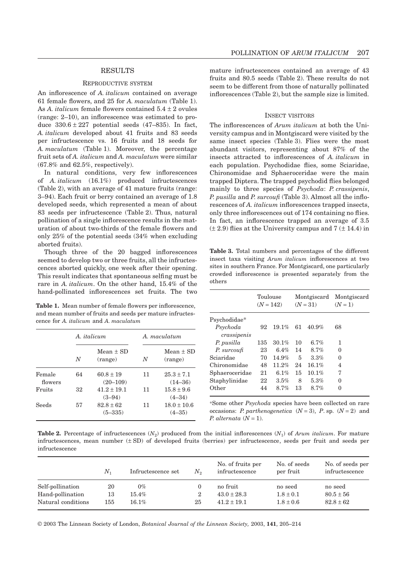## **RESULTS**

#### REPRODUCTIVE SYSTEM

An inflorescence of *A. italicum* contained on average 61 female flowers, and 25 for *A. maculatum* (Table 1). As *A. italicum* female flowers contained 5.4 ± 2 ovules (range: 2–10), an inflorescence was estimated to produce  $330.6 \pm 227$  potential seeds (47–835). In fact, *A. italicum* developed about 41 fruits and 83 seeds per infructescence vs. 16 fruits and 18 seeds for *A. maculatum* (Table 1). Moreover, the percentage fruit sets of *A. italicum* and *A. maculatum* were similar (67.8% and 62.5%, respectively).

In natural conditions, very few inflorescences of *A. italicum* (16.1%) produced infructescences (Table 2), with an average of 41 mature fruits (range: 3–94). Each fruit or berry contained an average of 1.8 developed seeds, which represented a mean of about 83 seeds per infructescence (Table 2). Thus, natural pollination of a single inflorescence results in the maturation of about two-thirds of the female flowers and only 25% of the potential seeds (34% when excluding aborted fruits).

Though three of the 20 bagged inflorescences seemed to develop two or three fruits, all the infructescences aborted quickly, one week after their opening. This result indicates that spontaneous selfing must be rare in *A. italicum*. On the other hand, 15.4% of the hand-pollinated inflorescences set fruits. The two

Table 1. Mean number of female flowers per inflorescence, and mean number of fruits and seeds per mature infructescence for *A. italicum* and *A. maculatum*

|                   |    | A <i>italicum</i>            | A. maculatum |                               |  |
|-------------------|----|------------------------------|--------------|-------------------------------|--|
|                   | N  | $Mean + SD$<br>(range)       | N            | $Mean + SD$<br>(range)        |  |
| Female<br>flowers | 64 | $60.8 \pm 19$<br>$(20-109)$  | 11           | $25.3 \pm 7.1$<br>$(14 - 36)$ |  |
| Fruits            | 32 | $41.2 + 19.1$<br>$(3-94)$    | 11           | $15.8 \pm 9.6$<br>$(4 - 34)$  |  |
| Seeds             | 57 | $82.8 \pm 62$<br>$(5 - 335)$ | 11           | $18.0 \pm 10.6$<br>$(4 - 35)$ |  |

mature infructescences contained an average of 43 fruits and 80.5 seeds (Table 2). These results do not seem to be different from those of naturally pollinated inflorescences (Table 2), but the sample size is limited.

## INSECT VISITORS

The inflorescences of *Arum italicum* at both the University campus and in Montgiscard were visited by the same insect species (Table 3). Flies were the most abundant visitors, representing about 87% of the insects attracted to inflorescences of *A. italicum* in each population. Psychodidae flies, some Sciaridae, Chironomidae and Sphaeroceridae were the main trapped Diptera. The trapped psychodid flies belonged mainly to three species of *Psychoda*: *P. crassipenis*, *P. pusilla* and *P. surcoufi* (Table 3). Almost all the inflorescences of *A. italicum* inflorescences trapped insects, only three inflorescences out of 174 containing no flies. In fact, an inflorescence trapped an average of 3.5  $(\pm 2.9)$  flies at the University campus and  $7 (\pm 14.4)$  in

**Table 3.** Total numbers and percentages of the different insect taxa visiting *Arum italicum* inflorescences at two sites in southern France. For Montgiscard, one particularly crowded inflorescence is presented separately from the others

| Toulouse<br>$(N = 142)$ |         | Montgiscard<br>$(N = 31)$ |          | Montgiscard<br>$(N = 1)$ |  |
|-------------------------|---------|---------------------------|----------|--------------------------|--|
|                         |         |                           |          |                          |  |
| 92                      | 19.1%   | 61                        | $40.9\%$ | 68                       |  |
| 135                     | 30.1%   | 10                        | $6.7\%$  | 1                        |  |
| 23                      | $6.4\%$ | 14                        | 8.7%     | $\Omega$                 |  |
| 70                      | 14.9%   | 5                         | 3.3%     | 0                        |  |
| 48                      | 11.2%   | 24                        | 16.1%    | 4                        |  |
| 21                      | 6.1%    | 15                        | $10.1\%$ | 7                        |  |
| 22                      | 3.5%    | 8                         | 5.3%     | 0                        |  |
| 44                      | 8.7%    | 13                        | 8.7%     | $\Omega$                 |  |
|                         |         |                           |          |                          |  |

\*Some other *Psychoda* species have been collected on rare occasions: *P. parthenogenetica*  $(N = 3)$ , *P.* sp.  $(N = 2)$  and *P. alternata* (*N* = 1).

**Table 2.** Percentage of infructescences  $(N_2)$  produced from the initial inflorescences  $(N_1)$  of *Arum italicum*. For mature infructescences, mean number (± SD) of developed fruits (berries) per infructescence, seeds per fruit and seeds per infructescence

|                    | $N_{1}$ | Infructescence set | $N_{\rm o}$ | No. of fruits per<br>infructescence | No. of seeds<br>per fruit | No. of seeds per<br>infructescence |
|--------------------|---------|--------------------|-------------|-------------------------------------|---------------------------|------------------------------------|
| Self-pollination   | 20      | $0\%$              |             | no fruit                            | no seed                   | no seed                            |
| Hand-pollination   | 13      | $15.4\%$           | 2           | $43.0 \pm 28.3$                     | $1.8 \pm 0.1$             | $80.5 \pm 56$                      |
| Natural conditions | 155     | $16.1\%$           | 25          | $41.2 \pm 19.1$                     | $1.8 \pm 0.6$             | $82.8 \pm 62$                      |

© 2003 The Linnean Society of London, *Botanical Journal of the Linnean Society,* 2003, **141**, 205–214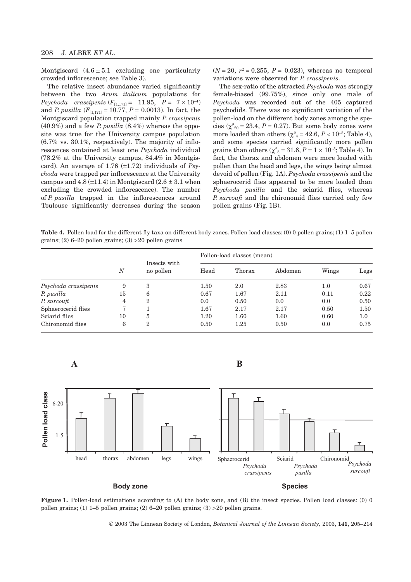Montgiscard  $(4.6 \pm 5.1$  excluding one particularly crowded inflorescence; see Table 3).

The relative insect abundance varied significantly between the two *Arum italicum* populations for *Psychoda crassipenis*  $(F_{[1,171]} = 11.95, P = 7 \times 10^{-4})$ and *P. pusilla*  $(F_{[1,171]} = 10.77, P = 0.0013)$ . In fact, the Montgiscard population trapped mainly *P. crassipenis* (40.9%) and a few *P. pusilla* (8.4%) whereas the opposite was true for the University campus population  $(6.7\% \text{ vs. } 30.1\%, \text{ respectively})$ . The majority of inflorescences contained at least one *Psychoda* individual (78.2% at the University campus, 84.4% in Montgiscard). An average of 1.76 (±1.72) individuals of *Psychoda* were trapped per inflorescence at the University campus and  $4.8 \left(\pm 11.4\right)$  in Montgiscard  $\left(2.6 \pm 3.1\right)$  when excluding the crowded inflorescence). The number of *P. pusilla* trapped in the inflorescences around Toulouse significantly decreases during the season

 $(N = 20, r^2 = 0.255, P = 0.023)$ , whereas no temporal variations were observed for *P. crassipenis*.

The sex-ratio of the attracted *Psychoda* was strongly female-biased (99.75%), since only one male of *Psychoda* was recorded out of the 405 captured psychodids. There was no significant variation of the pollen-load on the different body zones among the species ( $\chi^2_{20}$  = 23.4, *P* = 0.27). But some body zones were more loaded than others  $(\chi^2_{\ 4} = 42.6, P < 10^{-5}$ ; Table 4), and some species carried significantly more pollen grains than others ( $\chi^2$ <sub>5</sub> = 31.6, *P* = 1 × 10<sup>-5</sup>; Table 4). In fact, the thorax and abdomen were more loaded with pollen than the head and legs, the wings being almost devoid of pollen (Fig. 1A). *Psychoda crassipenis* and the sphaerocerid flies appeared to be more loaded than Psychoda pusilla and the sciarid flies, whereas *P. surcoufi* and the chironomid flies carried only few pollen grains (Fig. 1B).

**Table 4.** Pollen load for the different fly taxa on different body zones. Pollen load classes: (0) 0 pollen grains; (1) 1–5 pollen grains;  $(2)$  6–20 pollen grains;  $(3)$  >20 pollen grains

|                      | $\boldsymbol{N}$ | Insects with<br>no pollen | Pollen-load classes (mean) |        |         |         |         |  |
|----------------------|------------------|---------------------------|----------------------------|--------|---------|---------|---------|--|
|                      |                  |                           | Head                       | Thorax | Abdomen | Wings   | Legs    |  |
| Psychoda crassipenis | 9                | 3                         | 1.50                       | 2.0    | 2.83    | $1.0\,$ | 0.67    |  |
| P. pusilla           | 15               | 6                         | 0.67                       | 1.67   | 2.11    | 0.11    | 0.22    |  |
| P. surcoufi          | 4                | 2                         | 0.0                        | 0.50   | 0.0     | 0.0     | 0.50    |  |
| Sphaerocerid flies   | 7                |                           | 1.67                       | 2.17   | 2.17    | 0.50    | 1.50    |  |
| Sciarid flies        | 10               | 5                         | 1.20                       | 1.60   | 1.60    | 0.60    | $1.0\,$ |  |
| Chironomid flies     | 6                | 2                         | 0.50                       | 1.25   | 0.50    | 0.0     | 0.75    |  |

**A B**





© 2003 The Linnean Society of London, *Botanical Journal of the Linnean Society,* 2003, **141**, 205–214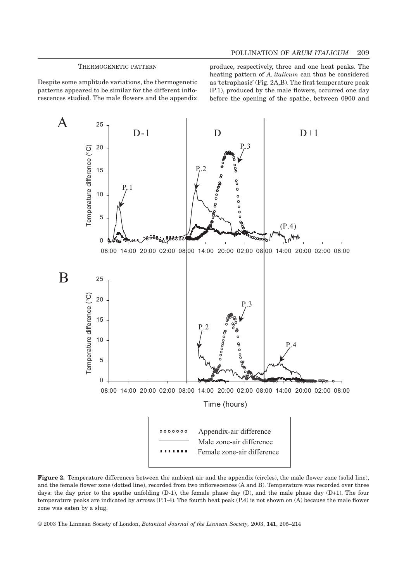#### THERMOGENETIC PATTERN

Despite some amplitude variations, the thermogenetic patterns appeared to be similar for the different inflorescences studied. The male flowers and the appendix produce, respectively, three and one heat peaks. The heating pattern of *A. italicum* can thus be considered as 'tetraphasic' (Fig. 2A,B). The first temperature peak (P.1), produced by the male flowers, occurred one day before the opening of the spathe, between 0900 and



**Figure 2.** Temperature differences between the ambient air and the appendix (circles), the male flower zone (solid line), and the female flower zone (dotted line), recorded from two inflorescences (A and B). Temperature was recorded over three days: the day prior to the spathe unfolding (D-1), the female phase day (D), and the male phase day (D+1). The four temperature peaks are indicated by arrows  $(P.1-4)$ . The fourth heat peak  $(P.4)$  is not shown on  $(A)$  because the male flower zone was eaten by a slug.

© 2003 The Linnean Society of London, *Botanical Journal of the Linnean Society,* 2003, **141**, 205–214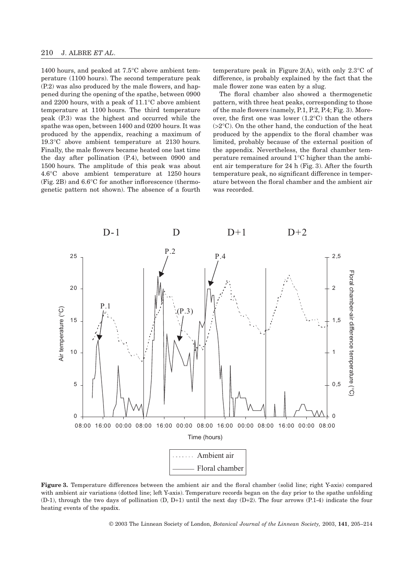1400 hours, and peaked at 7.5°C above ambient temperature (1100 hours). The second temperature peak (P.2) was also produced by the male flowers, and happened during the opening of the spathe, between 0900 and 2200 hours, with a peak of 11.1°C above ambient temperature at 1100 hours. The third temperature peak (P.3) was the highest and occurred while the spathe was open, between 1400 and 0200 hours. It was produced by the appendix, reaching a maximum of 19.3°C above ambient temperature at 2130 hours. Finally, the male flowers became heated one last time the day after pollination (P.4), between 0900 and 1500 hours. The amplitude of this peak was about 4.6°C above ambient temperature at 1250 hours (Fig. 2B) and 6.6°C for another inflorescence (thermogenetic pattern not shown). The absence of a fourth

temperature peak in Figure 2(A), with only  $2.3^{\circ}$ C of difference, is probably explained by the fact that the male flower zone was eaten by a slug.

The floral chamber also showed a thermogenetic pattern, with three heat peaks, corresponding to those of the male flowers (namely, P.1, P.2, P.4; Fig. 3). Moreover, the first one was lower (1.2°C) than the others  $(>2°C)$ . On the other hand, the conduction of the heat produced by the appendix to the floral chamber was limited, probably because of the external position of the appendix. Nevertheless, the floral chamber temperature remained around 1°C higher than the ambient air temperature for 24 h (Fig. 3). After the fourth temperature peak, no significant difference in temperature between the floral chamber and the ambient air was recorded.



**Figure 3.** Temperature differences between the ambient air and the floral chamber (solid line; right Y-axis) compared with ambient air variations (dotted line; left Y-axis). Temperature records began on the day prior to the spathe unfolding (D-1), through the two days of pollination (D, D+1) until the next day (D+2). The four arrows (P.1-4) indicate the four heating events of the spadix.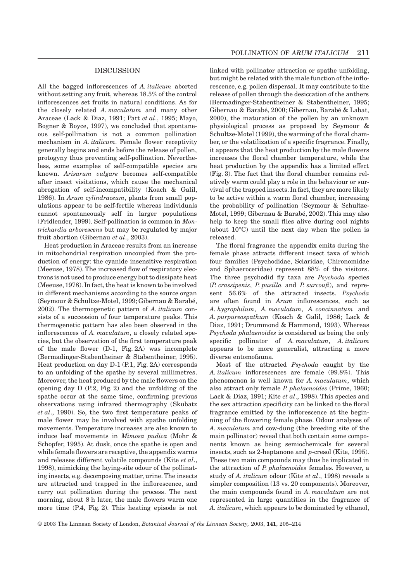#### DISCUSSION

All the bagged inflorescences of *A. italicum* aborted without setting any fruit, whereas 18.5% of the control inflorescences set fruits in natural conditions. As for the closely related *A. maculatum* and many other Araceae (Lack & Diaz, 1991; Patt *et al*., 1995; Mayo, Bogner & Boyce, 1997), we concluded that spontaneous self-pollination is not a common pollination mechanism in *A. italicum*. Female flower receptivity generally begins and ends before the release of pollen, protogyny thus preventing self-pollination. Nevertheless, some examples of self-compatible species are known. *Arisarum vulgare* becomes self-compatible after insect visitations, which cause the mechanical abrogation of self-incompatibility (Koach & Galil, 1986). In *Arum cylindraceum*, plants from small populations appear to be self-fertile whereas individuals cannot spontaneously self in larger populations (Fridlender, 1999). Self-pollination is common in *Montrichardia arborescens* but may be regulated by major fruit abortion (Gibernau *et al*., 2003).

Heat production in Araceae results from an increase in mitochondrial respiration uncoupled from the production of energy: the cyanide insensitive respiration (Meeuse, 1978). The increased flow of respiratory electrons is not used to produce energy but to dissipate heat (Meeuse, 1978). In fact, the heat is known to be involved in different mechanisms according to the source organ (Seymour & Schultze-Motel, 1999; Gibernau & Barabé, 2002). The thermogenetic pattern of *A. italicum* consists of a succession of four temperature peaks. This thermogenetic pattern has also been observed in the inflorescences of *A. maculatum*, a closely related species, but the observation of the first temperature peak of the male flower (D-1, Fig. 2A) was incomplete (Bermadinger-Stabentheiner & Stabentheiner, 1995). Heat production on day D-1 (P.1, Fig. 2A) corresponds to an unfolding of the spathe by several millimetres. Moreover, the heat produced by the male flowers on the opening day D (P.2, Fig. 2) and the unfolding of the spathe occur at the same time, confirming previous observations using infrared thermography (Skubatz *et al*., 1990). So, the two first temperature peaks of male flower may be involved with spathe unfolding movements. Temperature increases are also known to induce leaf movements in *Mimosa pudica* (Mohr & Schopfer, 1995). At dusk, once the spathe is open and while female flowers are receptive, the appendix warms and releases different volatile compounds (Kite *et al*., 1998), mimicking the laying-site odour of the pollinating insects, e.g. decomposing matter, urine. The insects are attracted and trapped in the inflorescence, and carry out pollination during the process. The next morning, about 8 h later, the male flowers warm one more time (P.4, Fig. 2). This heating episode is not

linked with pollinator attraction or spathe unfolding, but might be related with the male function of the inflorescence, e.g. pollen dispersal. It may contribute to the release of pollen through the desiccation of the anthers (Bermadinger-Stabentheiner & Stabentheiner, 1995; Gibernau & Barabé, 2000; Gibernau, Barabé & Labat, 2000), the maturation of the pollen by an unknown physiological process as proposed by Seymour & Schultze-Motel (1999), the warming of the floral chamber, or the volatilization of a specific fragrance. Finally, it appears that the heat production by the male flowers increases the floral chamber temperature, while the heat production by the appendix has a limited effect (Fig. 3). The fact that the floral chamber remains relatively warm could play a role in the behaviour or survival of the trapped insects. In fact, they are more likely to be active within a warm floral chamber, increasing the probability of pollination (Seymour & Schultze-Motel, 1999; Gibernau & Barabé, 2002). This may also help to keep the small flies alive during cool nights (about 10°C) until the next day when the pollen is released.

The floral fragrance the appendix emits during the female phase attracts different insect taxa of which four families (Psychodidae, Sciaridae, Chironomidae and Sphaeroceridae) represent 88% of the visitors. The three psychodid fly taxa are *Psychoda* species (*P. crassipenis*, *P. pusilla* and *P. surcoufi*), and represent 56.6% of the attracted insects. *Psychoda* are often found in *Arum* inflorescences, such as *A. hygrophilum*, *A. maculatum*, *A. concinnatum* and *A. purpureospathum* (Koach & Galil, 1986; Lack & Diaz, 1991; Drummond & Hammond, 1993). Whereas *Psychoda phalaenoides* is considered as being the only specific pollinator of *A. maculatum*, *A. italicum* appears to be more generalist, attracting a more diverse entomofauna.

Most of the attracted *Psychoda* caught by the *A. italicum* inflorescences are female (99.8%). This phenomenon is well known for *A. maculatum*, which also attract only female *P. phalaenoides* (Prime, 1960; Lack & Diaz, 1991; Kite *et al*., 1998). This species and the sex attraction specificity can be linked to the floral fragrance emitted by the inflorescence at the beginning of the flowering female phase. Odour analyses of *A. maculatum* and cow-dung (the breeding site of the main pollinator) reveal that both contain some components known as being semiochemicals for several insects, such as 2-heptanone and *p*-cresol (Kite, 1995). These two main compounds may thus be implicated in the attraction of *P. phalaenoides* females. However, a study of *A. italicum* odour (Kite *et al*., 1998) reveals a simpler composition (13 vs. 20 components). Moreover, the main compounds found in *A. maculatum* are not represented in large quantities in the fragrance of *A. italicum*, which appears to be dominated by ethanol,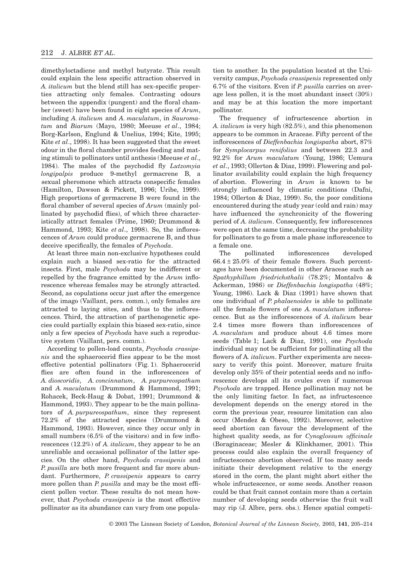dimethyloctadiene and methyl butyrate. This result could explain the less specific attraction observed in *A. italicum* but the blend still has sex-specific properties attracting only females. Contrasting odours between the appendix (pungent) and the floral chamber (sweet) have been found in eight species of *Arum*, including *A. italicum* and *A. maculatum*, in *Sauromatum* and *Biarum* (Mayo, 1980; Meeuse *et al*., 1984; Borg-Karlson, Englund & Unelius, 1994; Kite, 1995; Kite *et al*., 1998). It has been suggested that the sweet odour in the floral chamber provides feeding and mating stimuli to pollinators until anthesis (Meeuse *et al*., 1984). The males of the psychodid fly *Lutzomyia longipalpis* produce 9-methyl germacrene B, a sexual pheromone which attracts conspecific females (Hamilton, Dawson & Pickett, 1996; Uribe, 1999). High proportions of germacrene B were found in the floral chamber of several species of *Arum* (mainly pollinated by psychodid flies), of which three characteristically attract females (Prime, 1960; Drummond & Hammond, 1993; Kite *et al*., 1998). So, the inflorescences of *Arum* could produce germacrene B, and thus deceive specifically, the females of *Psychoda*.

At least three main non-exclusive hypotheses could explain such a biased sex-ratio for the attracted insects. First, male *Psychoda* may be indifferent or repelled by the fragrance emitted by the *Arum* inflorescence whereas females may be strongly attracted. Second, as copulations occur just after the emergence of the imago (Vaillant, pers. comm.), only females are attracted to laying sites, and thus to the inflorescences. Third, the attraction of parthenogenetic species could partially explain this biased sex-ratio, since only a few species of *Psychoda* have such a reproductive system (Vaillant, pers. comm.).

According to pollen-load counts, *Psychoda crassipenis* and the sphaerocerid flies appear to be the most effective potential pollinators (Fig. 1). Sphaerocerid flies are often found in the inflorescences of *A. dioscoridis*, *A. concinnatum*, *A. purpureospathum* and *A. maculatum* (Drummond & Hammond, 1991; Rohacek, Beck-Haug & Dobat, 1991; Drummond & Hammond, 1993). They appear to be the main pollinators of *A. purpureospathum*, since they represent 72.2% of the attracted species (Drummond & Hammond, 1993). However, since they occur only in small numbers  $(6.5\% \text{ of the visitors})$  and in few inflorescences (12.2%) of *A. italicum*, they appear to be an unreliable and occasional pollinator of the latter species. On the other hand, *Psychoda crassipenis* and *P. pusilla* are both more frequent and far more abundant. Furthermore, *P. crassipenis* appears to carry more pollen than *P. pusilla* and may be the most efficient pollen vector. These results do not mean however, that *Psychoda crassipenis* is the most effective pollinator as its abundance can vary from one population to another. In the population located at the University campus, *Psychoda crassipenis* represented only 6.7% of the visitors. Even if *P. pusilla* carries on average less pollen, it is the most abundant insect (30%) and may be at this location the more important pollinator.

The frequency of infructescence abortion in *A. italicum* is very high (82.5%), and this phenomenon appears to be common in Araceae. Fifty percent of the inflorescences of *Dieffenbachia longispatha* abort, 87% for *Symplocarpus renifolius* and between 22.3 and 92.2% for *Arum maculatum* (Young, 1986; Uemura *et al*., 1993; Ollerton & Diaz, 1999). Flowering and pollinator availability could explain the high frequency of abortion. Flowering in *Arum* is known to be strongly influenced by climatic conditions (Dafni, 1984; Ollerton & Diaz, 1999). So, the poor conditions encountered during the study year (cold and rain) may have influenced the synchronicity of the flowering period of *A. italicum*. Consequently, few inflorescences were open at the same time, decreasing the probability for pollinators to go from a male phase inflorescence to a female one.

The pollinated inflorescences developed  $66.4 \pm 25.0\%$  of their female flowers. Such percentages have been documented in other Araceae such as *Spathyphillum friedrichsthalii* (78.2%; Montalvo & Ackerman, 1986) or *Dieffenbachia longispatha* (48%; Young, 1986). Lack & Diaz (1991) have shown that one individual of *P. phalaenoides* is able to pollinate all the female flowers of one *A. maculatum* inflorescence. But as the inflorescences of *A. italicum* bear 2.4 times more flowers than inflorescences of *A. maculatum* and produce about 4.6 times more seeds (Table 1; Lack & Diaz, 1991), one *Psychoda* individual may not be sufficient for pollinating all the flowers of A*. italicum*. Further experiments are necessary to verify this point. Moreover, mature fruits develop only 35% of their potential seeds and no inflorescence develops all its ovules even if numerous *Psychoda* are trapped. Hence pollination may not be the only limiting factor. In fact, as infructescence development depends on the energy stored in the corm the previous year, resource limitation can also occur (Mendez & Obeso, 1992). Moreover, selective seed abortion can favour the development of the highest quality seeds, as for *Cynoglossum officinale* (Boraginaceae; Mesler & Klinkhamer, 2001). This process could also explain the overall frequency of infructescence abortion observed. If too many seeds initiate their development relative to the energy stored in the corm, the plant might abort either the whole infructescence, or some seeds. Another reason could be that fruit cannot contain more than a certain number of developing seeds otherwise the fruit wall may rip (J. Albre, pers. obs.). Hence spatial competi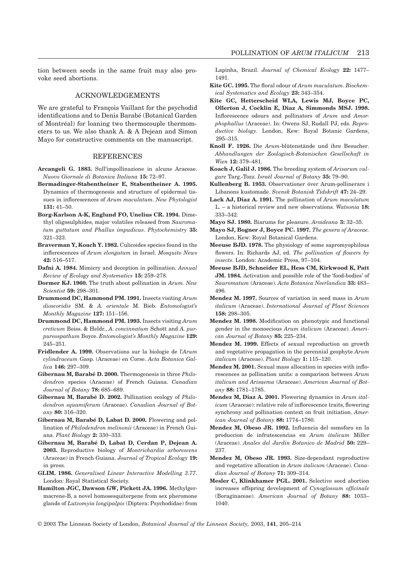tion between seeds in the same fruit may also provoke seed abortions.

# ACKNOWLEDGEMENTS

We are grateful to François Vaillant for the psychodid identifications and to Denis Barabé (Botanical Garden of Montréal) for loaning two thermocouple thermometers to us. We also thank A. & A Dejean and Simon Mayo for constructive comments on the manuscript.

## **REFERENCES**

- **Arcangeli G. 1883.** Sull'impollinazione in alcune Araceae. *Nuovo Giornale di Botanica Italiana* **15:** 72–97.
- **Bermadinger-Stabentheiner E, Stabentheiner A. 1995.** Dynamics of thermogenesis and structure of epidermal tissues in inflorescences of *Arum maculatum*. *New Phytologist* **131:** 41–50.
- **Borg-Karlson A-K, Englund FO, Unelius CR. 1994.** Dimethyl oligosulphides, major volatiles released from *Sauromatum guttatum and Phallus impudicus*. *Phytochemistry* **35:** 321–323.
- **Braverman Y, Koach Y. 1982.** Culicoides species found in the inflorescences of *Arum elongatum* in Israel. *Mosquito News* **42:** 516–517.
- **Dafni A. 1984.** Mimicry and deception in pollination. *Annual Review of Ecology and Systematics* **15:** 259–278.
- **Dormer KJ. 1960.** The truth about pollination in *Arum*. *New Scientist* **59:** 298–301.
- **Drummond DC, Hammond PM. 1991.** Insects visiting *Arum dioscoridis* SM. & *A. orientale* M. Bieb. *Entomologist's Monthly Magazine* **127:** 151–156.
- **Drummond DC, Hammond PM. 1993.** Insects visiting *Arum creticum* Boiss. & Heldr., *A. concinnatum* Schott and *A. purpureospathum* Boyce. *Entomologist's Monthly Magazine* **129:** 245–251.
- **Fridlender A. 1999.** Observations sur la biologie de l'*Arum cylindraceum* Gasp. (Araceae) en Corse. *Acta Botanica Gallica* **146:** 297–309.
- **Gibernau M, Barabé D. 2000.** Thermogenesis in three *Philodendron* species (Araceae) of French Guiana. *Canadian Journal of Botany* **78:** 685–689.
- **Gibernau M, Barabé D. 2002.** Pollination ecology of *Philodendron squamiferum* (Araceae). *Canadian Journal of Botany* **80:** 316–320.
- **Gibernau M, Barabé D, Labat D. 2000.** Flowering and pollination of *Philodendron melinonii* (Araceae) in French Guiana. *Plant Biology* **2:** 330–333.
- **Gibernau M, Barabé D, Labat D, Cerdan P, Dejean A. 2003.** Reproductive biology of *Montrichardia arborescens* (Araceae) in French Guiana. *Journal of Tropical Ecology* **19:** in press.
- **GLIM. 1986.** *Generalised Linear Interactive Modelling 3.77*. London: Royal Statistical Society.
- **Hamilton JGC, Dawson GW, Pickett JA. 1996.** Methylgermacrene-B, a novel homosesquiterpene from sex pheromone glands of *Lutzomyia longipalpis* (Diptera: Psychodidae) from

Lapinha, Brazil. *Journal of Chemical Ecology* **22:** 1477– 1491.

- **Kite GC. 1995.** The floral odour of *Arum maculatum*. *Biochemical Systematics and Ecology* **23:** 343–354.
- **Kite GC, Hetterscheid WLA, Lewis MJ, Boyce PC, Ollerton J, Cocklin E, Diaz A, Simmonds MSJ. 1998.** Inflorescence odours and pollinators of *Arum* and *Amorphophallus* (Araceae). In: Owens SJ, Rudall PJ, eds. *Reproductive biology.* London, Kew: Royal Botanic Gardens, 295–315.
- **Knoll F. 1926.** Die *Arum*-blütenstände und ihre Besucher. *Abhandlungen der Zoologisch-Botanischen Gesellschaft in Wien* **12:** 379–481.
- **Koach J, Galil J. 1986.** The breeding system of *Arisarum vulgare* Targ.-Tozz. *Israël Journal of Botany* **35:** 79–90.
- **Kullenberg B. 1953.** Observationer över Arum-pollinerare i Libanons kustomade. *Svensk Botanisk Tidskrift* **47:** 24–29.
- **Lack AJ, Diaz A. 1991.** The pollination of *Arum maculatum* L. – a historical review and new observations. *Watsonia* **18:** 333–342.
- **Mayo SJ. 1980.** Biarums for pleasure. *Aroideana* **3:** 32–35.
- **Mayo SJ, Bogner J, Boyce PC. 1997.** *The genera of Araceae.* London, Kew: Royal Botanical Gardens.
- **Meeuse BJD. 1978.** The physiology of some sapromyophilous flowers. In: Richards AJ, ed. *The pollination of flowers by insects*. London: Academic Press, 97–104.
- **Meeuse BJD, Schneider EL, Hess CM, Kirkwood K, Patt JM. 1984.** Activation and possible role of the 'food-bodies' of *Sauromatum* (Araceae). *Acta Botanica Neerlandica* **33:** 483– 496.
- **Mendez M. 1997.** Sources of variation in seed mass in *Arum italicum* (Araceae). *International Journal of Plant Sciences* **158:** 298–305.
- **Mendez M. 1998.** Modification on phenotypic and functional gender in the monoecious *Arum italicum* (Araceae). *American Journal of Botany* **85:** 225–234.
- **Mendez M. 1999.** Effects of sexual reproduction on growth and vegetative propagation in the perennial geophyte *Arum italicum* (Araceae). *Plant Biology* **1:** 115–120.
- **Mendez M. 2001.** Sexual mass allocation in species with inflorescences as pollination units: a comparison between *Arum italicum and Arisaema* (Araceae). *American Journal of Botany* **88:** 1781–1785.
- **Mendez M, Diaz A. 2001.** Flowering dynamics in *Arum italicum* (Araceae): relative role of inflorescence traits, flowering synchrony and pollination context on fruit initiation. *American Journal of Botany* **88:** 1774–1780.
- **Mendez M, Obeso JR. 1992.** Influencia del osmoforo en la produccion de infrutescencias en *Arum italicum* Miller (Araceae). *Anales del Jardin Botanico de Madrid* **50:** 229– 237.
- **Mendez M, Obeso JR. 1993.** Size-dependant reproductive and vegetative allocation in *Arum italicum* (Araceae). *Canadian Journal of Botany* **71:** 309–314.
- **Mesler C, Klinkhamer PGL. 2001.** Selective seed abortion increases offspring development of *Cynoglossum officinale* (Boraginaceae). *American Journal of Botany* **88:** 1033– 1040.